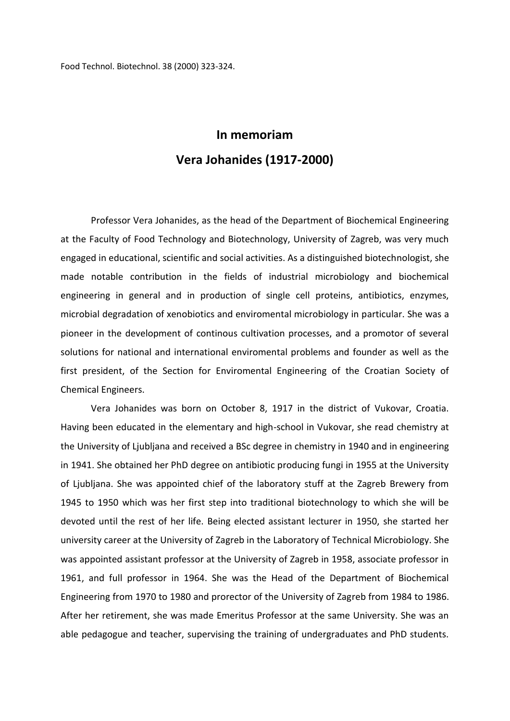Food Technol. Biotechnol. 38 (2000) 323-324.

## **In memoriam Vera Johanides (1917-2000)**

Professor Vera Johanides, as the head of the Department of Biochemical Engineering at the Faculty of Food Technology and Biotechnology, University of Zagreb, was very much engaged in educational, scientific and social activities. As a distinguished biotechnologist, she made notable contribution in the fields of industrial microbiology and biochemical engineering in general and in production of single cell proteins, antibiotics, enzymes, microbial degradation of xenobiotics and enviromental microbiology in particular. She was a pioneer in the development of continous cultivation processes, and a promotor of several solutions for national and international enviromental problems and founder as well as the first president, of the Section for Enviromental Engineering of the Croatian Society of Chemical Engineers.

Vera Johanides was born on October 8, 1917 in the district of Vukovar, Croatia. Having been educated in the elementary and high-school in Vukovar, she read chemistry at the University of Ljubljana and received a BSc degree in chemistry in 1940 and in engineering in 1941. She obtained her PhD degree on antibiotic producing fungi in 1955 at the University of Ljubljana. She was appointed chief of the laboratory stuff at the Zagreb Brewery from 1945 to 1950 which was her first step into traditional biotechnology to which she will be devoted until the rest of her life. Being elected assistant lecturer in 1950, she started her university career at the University of Zagreb in the Laboratory of Technical Microbiology. She was appointed assistant professor at the University of Zagreb in 1958, associate professor in 1961, and full professor in 1964. She was the Head of the Department of Biochemical Engineering from 1970 to 1980 and prorector of the University of Zagreb from 1984 to 1986. After her retirement, she was made Emeritus Professor at the same University. She was an able pedagogue and teacher, supervising the training of undergraduates and PhD students.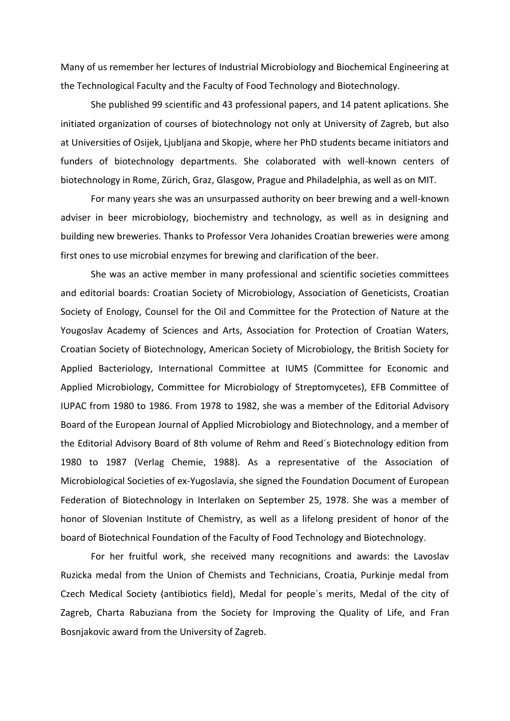Many of us remember her lectures of Industrial Microbiology and Biochemical Engineering at the Technological Faculty and the Faculty of Food Technology and Biotechnology.

She published 99 scientific and 43 professional papers, and 14 patent aplications. She initiated organization of courses of biotechnology not only at University of Zagreb, but also at Universities of Osijek, Ljubljana and Skopje, where her PhD students became initiators and funders of biotechnology departments. She colaborated with well-known centers of biotechnology in Rome, Zürich, Graz, Glasgow, Prague and Philadelphia, as well as on MIT.

For many years she was an unsurpassed authority on beer brewing and a well-known adviser in beer microbiology, biochemistry and technology, as well as in designing and building new breweries. Thanks to Professor Vera Johanides Croatian breweries were among first ones to use microbial enzymes for brewing and clarification of the beer.

She was an active member in many professional and scientific societies committees and editorial boards: Croatian Society of Microbiology, Association of Geneticists, Croatian Society of Enology, Counsel for the Oil and Committee for the Protection of Nature at the Yougoslav Academy of Sciences and Arts, Association for Protection of Croatian Waters, Croatian Society of Biotechnology, American Society of Microbiology, the British Society for Applied Bacteriology, International Committee at IUMS (Committee for Economic and Applied Microbiology, Committee for Microbiology of Streptomycetes), EFB Committee of IUPAC from 1980 to 1986. From 1978 to 1982, she was a member of the Editorial Advisory Board of the European Journal of Applied Microbiology and Biotechnology, and a member of the Editorial Advisory Board of 8th volume of Rehm and Reed´s Biotechnology edition from 1980 to 1987 (Verlag Chemie, 1988). As a representative of the Association of Microbiological Societies of ex-Yugoslavia, she signed the Foundation Document of European Federation of Biotechnology in Interlaken on September 25, 1978. She was a member of honor of Slovenian Institute of Chemistry, as well as a lifelong president of honor of the board of Biotechnical Foundation of the Faculty of Food Technology and Biotechnology.

For her fruitful work, she received many recognitions and awards: the Lavoslav Ruzicka medal from the Union of Chemists and Technicians, Croatia, Purkinje medal from Czech Medical Society (antibiotics field), Medal for people´s merits, Medal of the city of Zagreb, Charta Rabuziana from the Society for Improving the Quality of Life, and Fran Bosnjakovic award from the University of Zagreb.